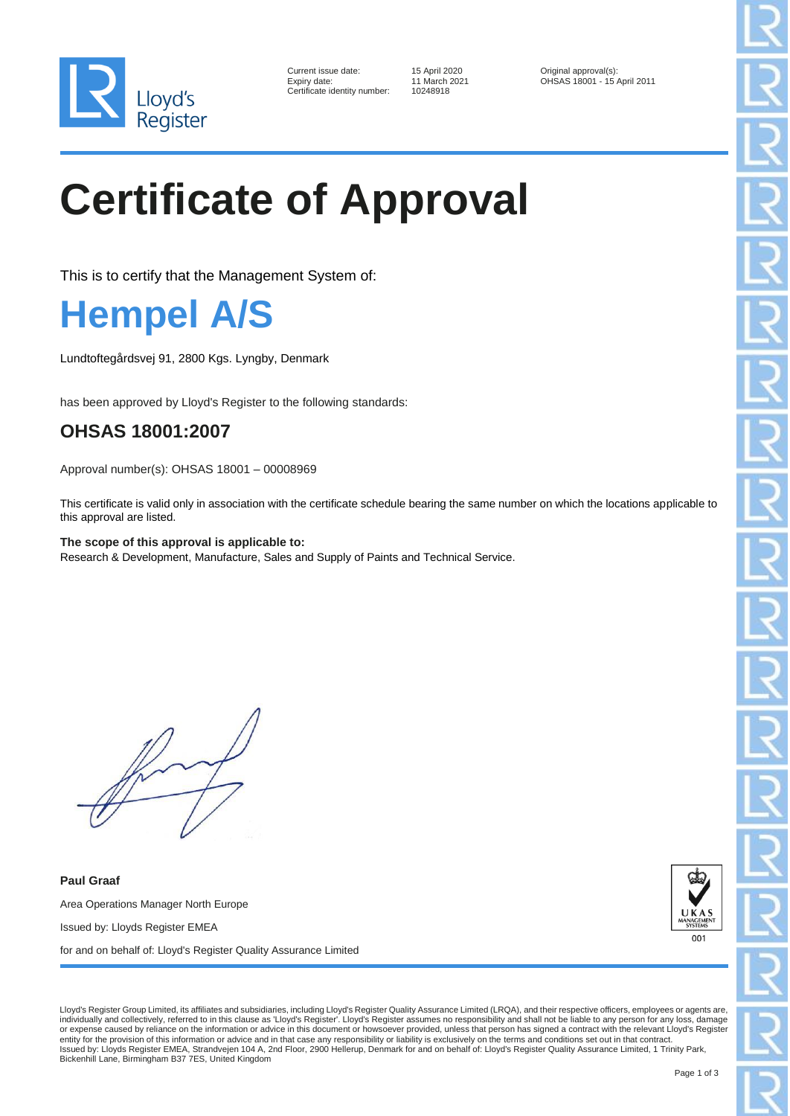

| Current issue date:        |
|----------------------------|
| Expiry date:               |
| Certificate identity numbe |

er: 10248918

15 April 2020 **Original approval(s):** 11 March 2021 **OHSAS 18001 - 15** OHSAS 18001 - 15 April 2011

# **Certificate of Approval**

This is to certify that the Management System of:

### **Hempel A/S**

Lundtoftegårdsvej 91, 2800 Kgs. Lyngby, Denmark

has been approved by Lloyd's Register to the following standards:

### **OHSAS 18001:2007**

Approval number(s): OHSAS 18001 – 00008969

This certificate is valid only in association with the certificate schedule bearing the same number on which the locations applicable to this approval are listed.

**The scope of this approval is applicable to:** Research & Development, Manufacture, Sales and Supply of Paints and Technical Service.

**Paul Graaf** Area Operations Manager North Europe Issued by: Lloyds Register EMEA for and on behalf of: Lloyd's Register Quality Assurance Limited



Lloyd's Register Group Limited, its affiliates and subsidiaries, including Lloyd's Register Quality Assurance Limited (LRQA), and their respective officers, employees or agents are, individually and collectively, referred to in this clause as 'Lloyd's Register'. Lloyd's Register assumes no responsibility and shall not be liable to any person for any loss, damage or expense caused by reliance on the information or advice in this document or howsoever provided, unless that person has signed a contract with the relevant Lloyd's Register<br>entity for the provision of this information or Bickenhill Lane, Birmingham B37 7ES, United Kingdom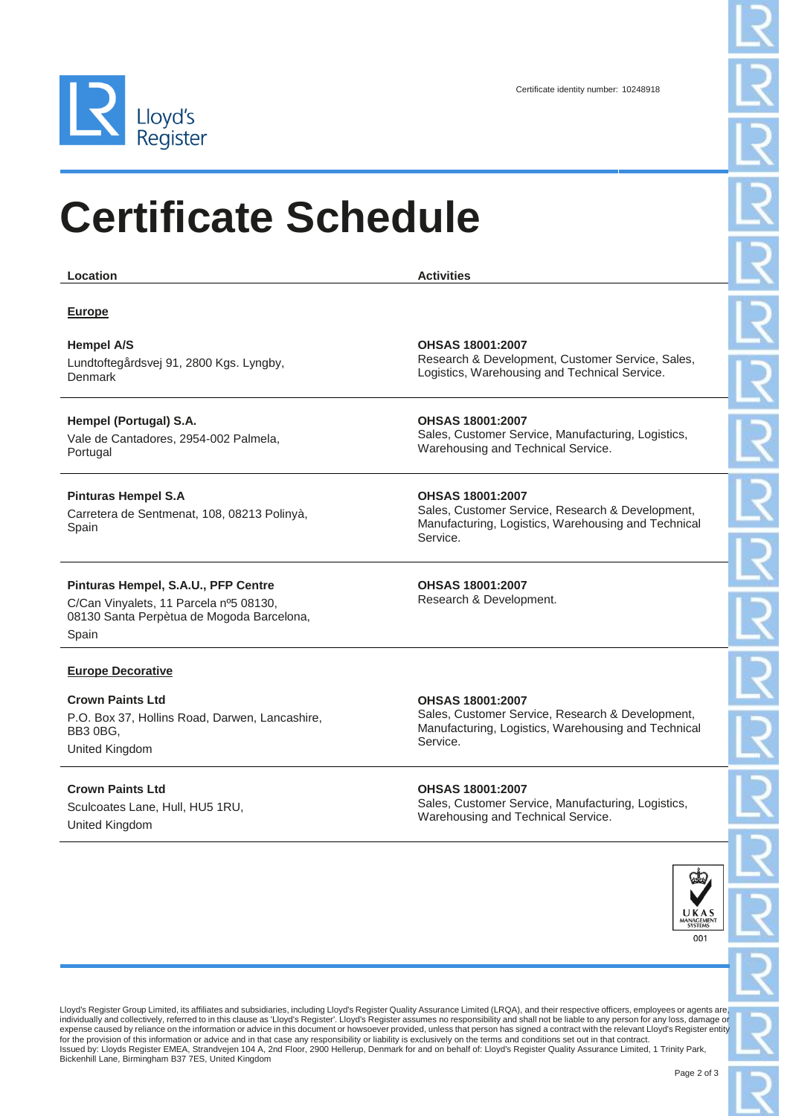

United Kingdom

### **Certificate Schedule**

| Location                                                                            | <b>Activities</b>                                                                                                   |
|-------------------------------------------------------------------------------------|---------------------------------------------------------------------------------------------------------------------|
| <b>Europe</b>                                                                       |                                                                                                                     |
|                                                                                     |                                                                                                                     |
| <b>Hempel A/S</b>                                                                   | <b>OHSAS 18001:2007</b>                                                                                             |
| Lundtoftegårdsvej 91, 2800 Kgs. Lyngby,<br>Denmark                                  | Research & Development, Customer Service, Sales,<br>Logistics, Warehousing and Technical Service.                   |
| Hempel (Portugal) S.A.                                                              | OHSAS 18001:2007                                                                                                    |
| Vale de Cantadores, 2954-002 Palmela,<br>Portugal                                   | Sales, Customer Service, Manufacturing, Logistics,<br>Warehousing and Technical Service.                            |
| <b>Pinturas Hempel S.A</b>                                                          | OHSAS 18001:2007                                                                                                    |
| Carretera de Sentmenat, 108, 08213 Polinyà,<br>Spain                                | Sales, Customer Service, Research & Development,<br>Manufacturing, Logistics, Warehousing and Technical<br>Service. |
| Pinturas Hempel, S.A.U., PFP Centre                                                 | OHSAS 18001:2007                                                                                                    |
| C/Can Vinyalets, 11 Parcela nº5 08130,<br>08130 Santa Perpètua de Mogoda Barcelona, | Research & Development.                                                                                             |
| Spain                                                                               |                                                                                                                     |
| <b>Europe Decorative</b>                                                            |                                                                                                                     |
| <b>Crown Paints Ltd</b>                                                             | OHSAS 18001:2007                                                                                                    |
| P.O. Box 37, Hollins Road, Darwen, Lancashire,<br>BB3 0BG,                          | Sales, Customer Service, Research & Development,<br>Manufacturing, Logistics, Warehousing and Technical             |
| United Kingdom                                                                      | Service.                                                                                                            |
| <b>Crown Paints Ltd</b>                                                             | OHSAS 18001:2007                                                                                                    |
| Sculcoates Lane, Hull, HU5 1RU,                                                     | Sales, Customer Service, Manufacturing, Logistics,                                                                  |



Lloyd's Register Group Limited, its affiliates and subsidiaries, including Lloyd's Register Quality Assurance Limited (LRQA), and their respective officers, employees or agents are,<br>individually and collectively, referred expense caused by reliance on the information or advice in this document or howsoever provided, unless that person has signed a contract with the relevant Lloyd's Register entity<br>for the provision of this information or ad Bickenhill Lane, Birmingham B37 7ES, United Kingdom

Warehousing and Technical Service.